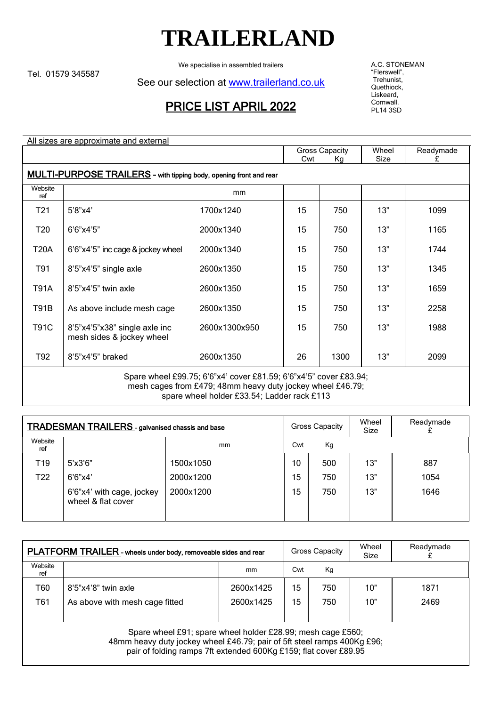## **TRAILERLAND**

We specialise in assembled trailers

Tel. 01579 345587

See our selection at [www.trailerland.co.uk](http://www.trailerland.co.uk/)

## PRICE LIST APRIL 2022

A.C. STONEMAN "Flerswell", Trehunist, Quethiock, Liskeard, Cornwall. PL14 3SD

| All sizes are approximate and external                                                                                          |                                                            |                       |    |       |           |      |  |
|---------------------------------------------------------------------------------------------------------------------------------|------------------------------------------------------------|-----------------------|----|-------|-----------|------|--|
|                                                                                                                                 |                                                            | <b>Gross Capacity</b> |    | Wheel | Readymade |      |  |
|                                                                                                                                 |                                                            | Cwt                   | Кg | Size  | £         |      |  |
| <b>MULTI-PURPOSE TRAILERS</b> - with tipping body, opening front and rear                                                       |                                                            |                       |    |       |           |      |  |
| Website<br>ref                                                                                                                  |                                                            | mm                    |    |       |           |      |  |
| T <sub>21</sub>                                                                                                                 | 5'8''x4'                                                   | 1700x1240             | 15 | 750   | 13"       | 1099 |  |
| T <sub>20</sub>                                                                                                                 | 6'6"x4'5"                                                  | 2000x1340             | 15 | 750   | 13"       | 1165 |  |
| <b>T20A</b>                                                                                                                     | 6'6"x4'5" inc cage & jockey wheel                          | 2000x1340             | 15 | 750   | 13"       | 1744 |  |
| T91                                                                                                                             | 8'5"x4'5" single axle                                      | 2600x1350             | 15 | 750   | 13"       | 1345 |  |
| <b>T91A</b>                                                                                                                     | 8'5"x4'5" twin axle                                        | 2600x1350             | 15 | 750   | 13"       | 1659 |  |
| <b>T91B</b>                                                                                                                     | As above include mesh cage                                 | 2600x1350             | 15 | 750   | 13"       | 2258 |  |
| <b>T91C</b>                                                                                                                     | 8'5"x4'5"x38" single axle inc<br>mesh sides & jockey wheel | 2600x1300x950         | 15 | 750   | 13"       | 1988 |  |
| T92                                                                                                                             | 8'5"x4'5" braked                                           | 2600x1350             | 26 | 1300  | 13"       | 2099 |  |
| Spare wheel £99.75; 6'6"x4' cover £81.59; 6'6"x4'5" cover £83.94;<br>mesh cages from £479; 48mm heavy duty jockey wheel £46.79; |                                                            |                       |    |       |           |      |  |

spare wheel holder £33.54; Ladder rack £113

| <b>TRADESMAN TRAILERS</b> - galvanised chassis and base |                                                 |           | <b>Gross Capacity</b> |     | Wheel<br>Size | Readymade |
|---------------------------------------------------------|-------------------------------------------------|-----------|-----------------------|-----|---------------|-----------|
| Website<br>ref                                          |                                                 | mm        | Cwt                   | Кg  |               |           |
| T19                                                     | $5'$ x $3'6"$                                   | 1500x1050 | 10                    | 500 | 13"           | 887       |
| T <sub>22</sub>                                         | 6'6''x4'                                        | 2000x1200 | 15                    | 750 | 13"           | 1054      |
|                                                         | 6'6"x4' with cage, jockey<br>wheel & flat cover | 2000x1200 | 15                    | 750 | 13"           | 1646      |

| PLATFORM TRAILER - wheels under body, removeable sides and rear                                                                        |                                |           | Gross Capacity |     | Wheel<br>Size | Readymade |
|----------------------------------------------------------------------------------------------------------------------------------------|--------------------------------|-----------|----------------|-----|---------------|-----------|
| Website<br>ret                                                                                                                         |                                | mm        | Cwt            | Kg  |               |           |
| T60                                                                                                                                    | 8'5"x4'8" twin axle            | 2600x1425 | 15             | 750 | 10"           | 1871      |
| T61                                                                                                                                    | As above with mesh cage fitted | 2600x1425 | 15             | 750 | 10"           | 2469      |
|                                                                                                                                        |                                |           |                |     |               |           |
| Spare wheel £91; spare wheel holder £28.99; mesh cage £560;<br>48mm heavy duty jockey wheel £46.79; pair of 5ft steel ramps 400Kg £96; |                                |           |                |     |               |           |

pair of folding ramps 7ft extended 600Kg £159; flat cover £89.95